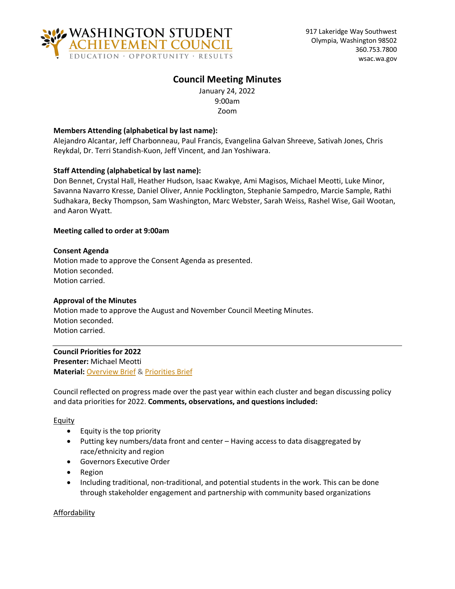

# **Council Meeting Minutes**

January 24, 2022 9:00am Zoom

#### **Members Attending (alphabetical by last name):**

Alejandro Alcantar, Jeff Charbonneau, Paul Francis, Evangelina Galvan Shreeve, Sativah Jones, Chris Reykdal, Dr. Terri Standish-Kuon, Jeff Vincent, and Jan Yoshiwara.

#### **Staff Attending (alphabetical by last name):**

Don Bennet, Crystal Hall, Heather Hudson, Isaac Kwakye, Ami Magisos, Michael Meotti, Luke Minor, Savanna Navarro Kresse, Daniel Oliver, Annie Pocklington, Stephanie Sampedro, Marcie Sample, Rathi Sudhakara, Becky Thompson, Sam Washington, Marc Webster, Sarah Weiss, Rashel Wise, Gail Wootan, and Aaron Wyatt.

#### **Meeting called to order at 9:00am**

#### **Consent Agenda**

Motion made to approve the Consent Agenda as presented. Motion seconded. Motion carried.

#### **Approval of the Minutes**

Motion made to approve the August and November Council Meeting Minutes. Motion seconded. Motion carried.

#### **Council Priorities for 2022**

**Presenter:** Michael Meotti **Material:** [Overview Brief](https://wsac.wa.gov/sites/default/files/2022-01-24-0111-Overview-Brief.pdf) & [Priorities Brief](https://wsac.wa.gov/sites/default/files/2022-01-24-0121-Priorities-Brief_0.pdf)

Council reflected on progress made over the past year within each cluster and began discussing policy and data priorities for 2022. **Comments, observations, and questions included:**

#### **Equity**

- Equity is the top priority
- Putting key numbers/data front and center Having access to data disaggregated by race/ethnicity and region
- Governors Executive Order
- Region
- Including traditional, non-traditional, and potential students in the work. This can be done through stakeholder engagement and partnership with community based organizations

Affordability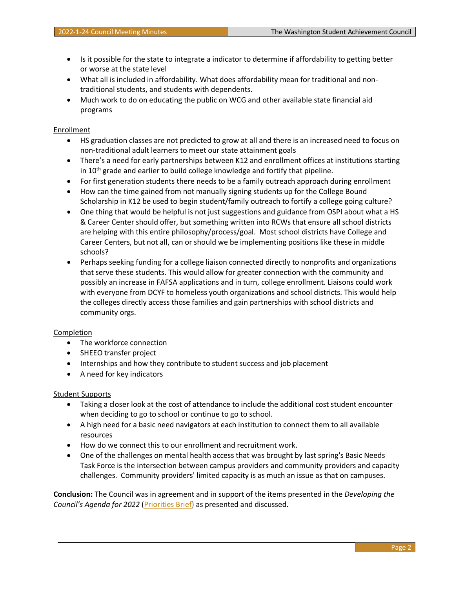- Is it possible for the state to integrate a indicator to determine if affordability to getting better or worse at the state level
- What all is included in affordability. What does affordability mean for traditional and nontraditional students, and students with dependents.
- Much work to do on educating the public on WCG and other available state financial aid programs

#### **Enrollment**

- HS graduation classes are not predicted to grow at all and there is an increased need to focus on non-traditional adult learners to meet our state attainment goals
- There's a need for early partnerships between K12 and enrollment offices at institutions starting in 10<sup>th</sup> grade and earlier to build college knowledge and fortify that pipeline.
- For first generation students there needs to be a family outreach approach during enrollment
- How can the time gained from not manually signing students up for the College Bound Scholarship in K12 be used to begin student/family outreach to fortify a college going culture?
- One thing that would be helpful is not just suggestions and guidance from OSPI about what a HS & Career Center should offer, but something written into RCWs that ensure all school districts are helping with this entire philosophy/process/goal. Most school districts have College and Career Centers, but not all, can or should we be implementing positions like these in middle schools?
- Perhaps seeking funding for a college liaison connected directly to nonprofits and organizations that serve these students. This would allow for greater connection with the community and possibly an increase in FAFSA applications and in turn, college enrollment. Liaisons could work with everyone from DCYF to homeless youth organizations and school districts. This would help the colleges directly access those families and gain partnerships with school districts and community orgs.

### Completion

- The workforce connection
- SHEEO transfer project
- Internships and how they contribute to student success and job placement
- A need for key indicators

### Student Supports

- Taking a closer look at the cost of attendance to include the additional cost student encounter when deciding to go to school or continue to go to school.
- A high need for a basic need navigators at each institution to connect them to all available resources
- How do we connect this to our enrollment and recruitment work.
- One of the challenges on mental health access that was brought by last spring's Basic Needs Task Force is the intersection between campus providers and community providers and capacity challenges. Community providers' limited capacity is as much an issue as that on campuses.

**Conclusion:** The Council was in agreement and in support of the items presented in the *Developing the Council's Agenda for 2022* [\(Priorities Brief\)](https://wsac.wa.gov/sites/default/files/2022-01-24-0121-Priorities-Brief_0.pdf) as presented and discussed.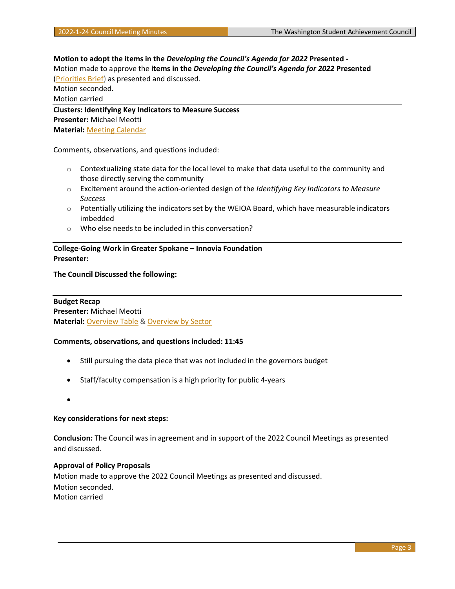**Motion to adopt the items in the** *Developing the Council's Agenda for 2022* **Presented -** Motion made to approve the **items in the** *Developing the Council's Agenda for 2022* **Presented** [\(Priorities Brief\)](https://wsac.wa.gov/sites/default/files/2022-01-24-0121-Priorities-Brief_0.pdf) as presented and discussed. Motion seconded. Motion carried **Clusters: Identifying Key Indicators to Measure Success Presenter:** Michael Meotti

**Material:** [Meeting Calendar](https://wsac.wa.gov/sites/default/files/2022-01-24-0141-Meetings-Calendar.pdf)

Comments, observations, and questions included:

- $\circ$  Contextualizing state data for the local level to make that data useful to the community and those directly serving the community
- o Excitement around the action-oriented design of the *Identifying Key Indicators to Measure Success*
- o Potentially utilizing the indicators set by the WEIOA Board, which have measurable indicators imbedded
- o Who else needs to be included in this conversation?

**College-Going Work in Greater Spokane – Innovia Foundation Presenter:**

**The Council Discussed the following:**

**Budget Recap Presenter:** Michael Meotti **Material:** [Overview Table](https://wsac.wa.gov/sites/default/files/2022-01-24-0341-Budget-Overview-Table.pdf) [& Overview by Sector](https://wsac.wa.gov/sites/default/files/2022-01-24-0342-Budget-Overview-BySector.pdf)

#### **Comments, observations, and questions included: 11:45**

- Still pursuing the data piece that was not included in the governors budget
- Staff/faculty compensation is a high priority for public 4-years
- •

#### **Key considerations for next steps:**

**Conclusion:** The Council was in agreement and in support of the 2022 Council Meetings as presented and discussed.

## **Approval of Policy Proposals**

Motion made to approve the 2022 Council Meetings as presented and discussed. Motion seconded. Motion carried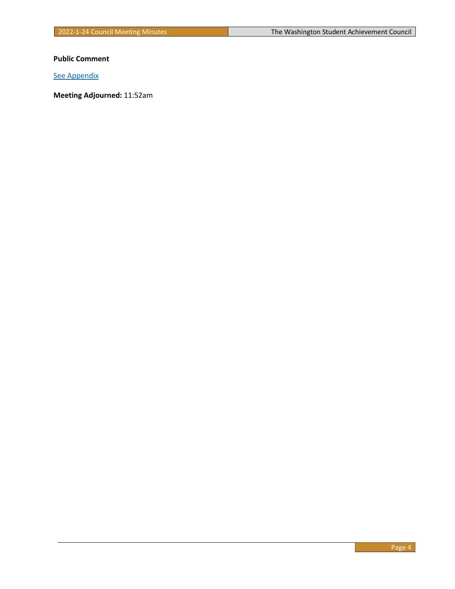**Public Comment**

[See Appendix](#page-4-0)

**Meeting Adjourned:** 11:52am